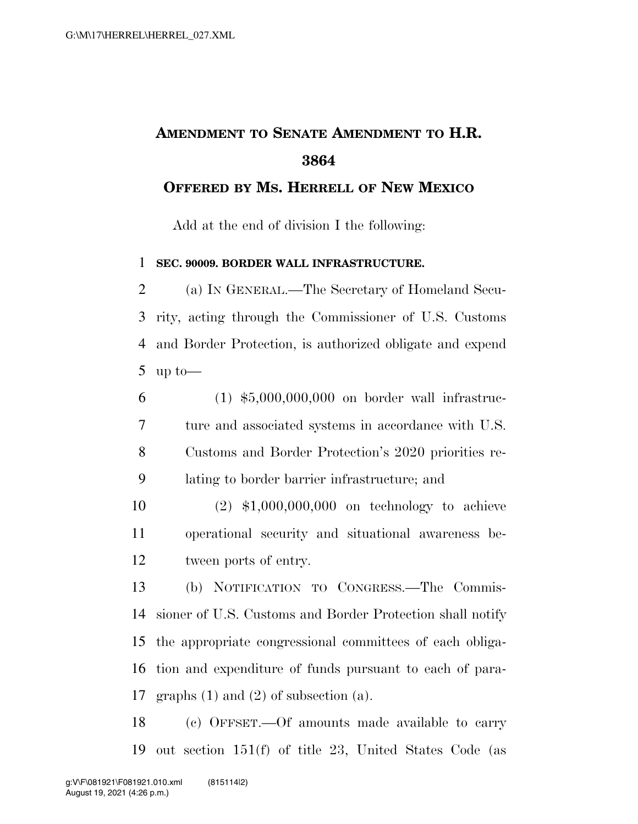## **AMENDMENT TO SENATE AMENDMENT TO H.R.**

## **OFFERED BY MS. HERRELL OF NEW MEXICO**

Add at the end of division I the following:

## **SEC. 90009. BORDER WALL INFRASTRUCTURE.**

 (a) IN GENERAL.—The Secretary of Homeland Secu- rity, acting through the Commissioner of U.S. Customs and Border Protection, is authorized obligate and expend up to—

 (1) \$5,000,000,000 on border wall infrastruc- ture and associated systems in accordance with U.S. Customs and Border Protection's 2020 priorities re-lating to border barrier infrastructure; and

 (2) \$1,000,000,000 on technology to achieve operational security and situational awareness be-tween ports of entry.

 (b) NOTIFICATION TO CONGRESS.—The Commis- sioner of U.S. Customs and Border Protection shall notify the appropriate congressional committees of each obliga- tion and expenditure of funds pursuant to each of para-graphs (1) and (2) of subsection (a).

 (c) OFFSET.—Of amounts made available to carry out section 151(f) of title 23, United States Code (as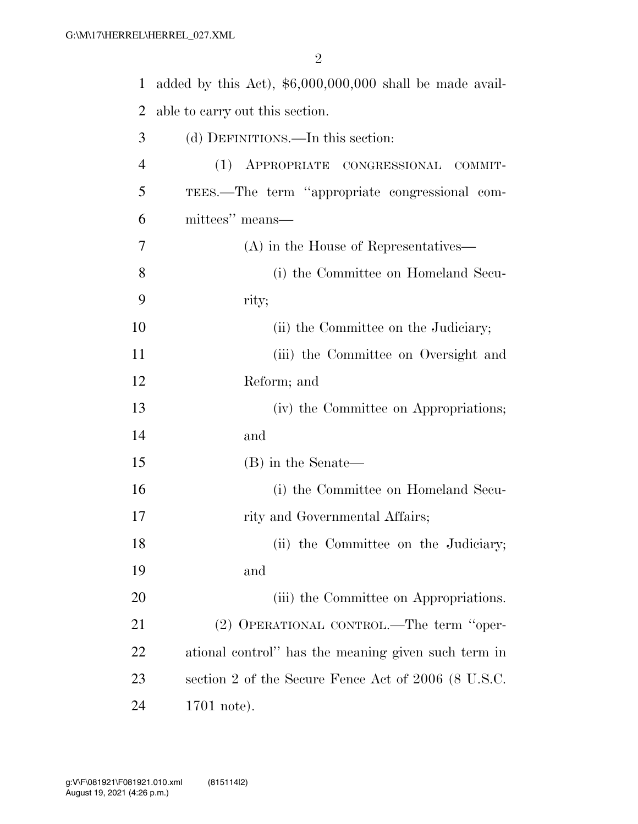added by this Act), \$6,000,000,000 shall be made avail- able to carry out this section. (d) DEFINITIONS.—In this section: (1) APPROPRIATE CONGRESSIONAL COMMIT- TEES.—The term ''appropriate congressional com- mittees'' means— (A) in the House of Representatives— (i) the Committee on Homeland Secu- rity; 10 (ii) the Committee on the Judiciary; (iii) the Committee on Oversight and Reform; and (iv) the Committee on Appropriations; and (B) in the Senate— (i) the Committee on Homeland Secu-17 rity and Governmental Affairs; 18 (ii) the Committee on the Judiciary; and 20 (iii) the Committee on Appropriations. (2) OPERATIONAL CONTROL.—The term ''oper- ational control'' has the meaning given such term in section 2 of the Secure Fence Act of 2006 (8 U.S.C. 1701 note).